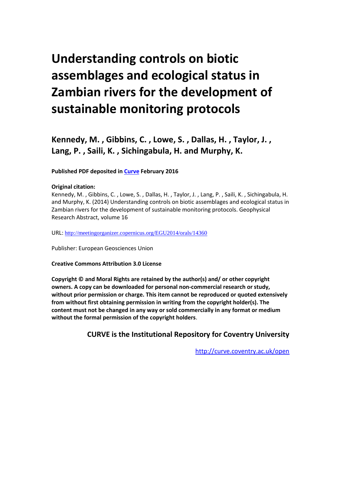## **Understanding controls on biotic assemblages and ecological status in Zambian rivers for the development of sustainable monitoring protocols**

**Kennedy, M. , Gibbins, C. , Lowe, S. , Dallas, H. , Taylor, J. , Lang, P. , Saili, K. , Sichingabula, H. and Murphy, K.**

## **Published PDF deposited in [Curve](http://curve.coventry.ac.uk/open) February 2016**

## **Original citation:**

Kennedy, M. , Gibbins, C. , Lowe, S. , Dallas, H. , Taylor, J. , Lang, P. , Saili, K. , Sichingabula, H. and Murphy, K. (2014) Understanding controls on biotic assemblages and ecological status in Zambian rivers for the development of sustainable monitoring protocols. Geophysical Research Abstract, volume 16

URL: <http://meetingorganizer.copernicus.org/EGU2014/orals/14360>

Publisher: European Geosciences Union

**Creative Commons Attribution 3.0 License**

**Copyright © and Moral Rights are retained by the author(s) and/ or other copyright owners. A copy can be downloaded for personal non-commercial research or study, without prior permission or charge. This item cannot be reproduced or quoted extensively from without first obtaining permission in writing from the copyright holder(s). The content must not be changed in any way or sold commercially in any format or medium without the formal permission of the copyright holders**.

**CURVE is the Institutional Repository for Coventry University**

<http://curve.coventry.ac.uk/open>